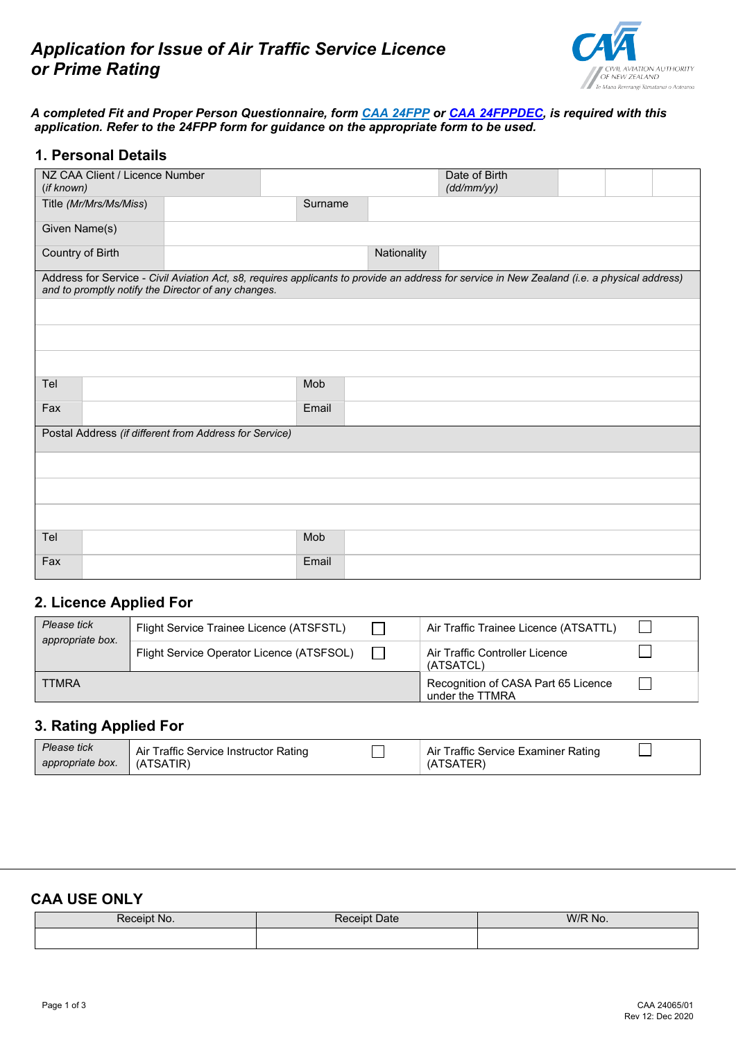

#### *A completed Fit and Proper Person Questionnaire, form [CAA 24FPP](http://www.caa.govt.nz/forms/24FPP.pdf) or [CAA 24FPPDEC,](https://www.caa.govt.nz/assets/legacy/Forms/24FPPDEC.doc) is required with this application. Refer to the 24FPP form for guidance on the appropriate form to be used.*

#### **1. Personal Details**

| (if known)       | NZ CAA Client / Licence Number                         |                                                     |         |             | Date of Birth<br>(dd/mm/yy)                                                                                                                  |  |  |  |
|------------------|--------------------------------------------------------|-----------------------------------------------------|---------|-------------|----------------------------------------------------------------------------------------------------------------------------------------------|--|--|--|
|                  | Title (Mr/Mrs/Ms/Miss)                                 |                                                     | Surname |             |                                                                                                                                              |  |  |  |
| Given Name(s)    |                                                        |                                                     |         |             |                                                                                                                                              |  |  |  |
| Country of Birth |                                                        |                                                     |         | Nationality |                                                                                                                                              |  |  |  |
|                  |                                                        | and to promptly notify the Director of any changes. |         |             | Address for Service - Civil Aviation Act, s8, requires applicants to provide an address for service in New Zealand (i.e. a physical address) |  |  |  |
|                  |                                                        |                                                     |         |             |                                                                                                                                              |  |  |  |
|                  |                                                        |                                                     |         |             |                                                                                                                                              |  |  |  |
|                  |                                                        |                                                     |         |             |                                                                                                                                              |  |  |  |
| Tel              |                                                        |                                                     | Mob     |             |                                                                                                                                              |  |  |  |
| Fax              |                                                        |                                                     | Email   |             |                                                                                                                                              |  |  |  |
|                  | Postal Address (if different from Address for Service) |                                                     |         |             |                                                                                                                                              |  |  |  |
|                  |                                                        |                                                     |         |             |                                                                                                                                              |  |  |  |
|                  |                                                        |                                                     |         |             |                                                                                                                                              |  |  |  |
|                  |                                                        |                                                     |         |             |                                                                                                                                              |  |  |  |
| Tel              |                                                        |                                                     | Mob     |             |                                                                                                                                              |  |  |  |
| Fax              |                                                        |                                                     | Email   |             |                                                                                                                                              |  |  |  |

# **2. Licence Applied For**

| Please tick<br>appropriate box. | Flight Service Trainee Licence (ATSFSTL)  |  | Air Traffic Trainee Licence (ATSATTL)                  |  |
|---------------------------------|-------------------------------------------|--|--------------------------------------------------------|--|
|                                 | Flight Service Operator Licence (ATSFSOL) |  | Air Traffic Controller Licence<br>(ATSATCL)            |  |
| <b>TTMRA</b>                    |                                           |  | Recognition of CASA Part 65 Licence<br>under the TTMRA |  |

## **3. Rating Applied For**

| Please tick<br>appropriate box. | Air Traffic Service Instructor Rating<br>(ATSATIR) | Air Traffic Service Examiner Rating<br>TSATER) |  |
|---------------------------------|----------------------------------------------------|------------------------------------------------|--|
|                                 |                                                    |                                                |  |

# **CAA USE ONLY**

| Receipt No. | Date<br>Receipt | W/R No. |
|-------------|-----------------|---------|
|             |                 |         |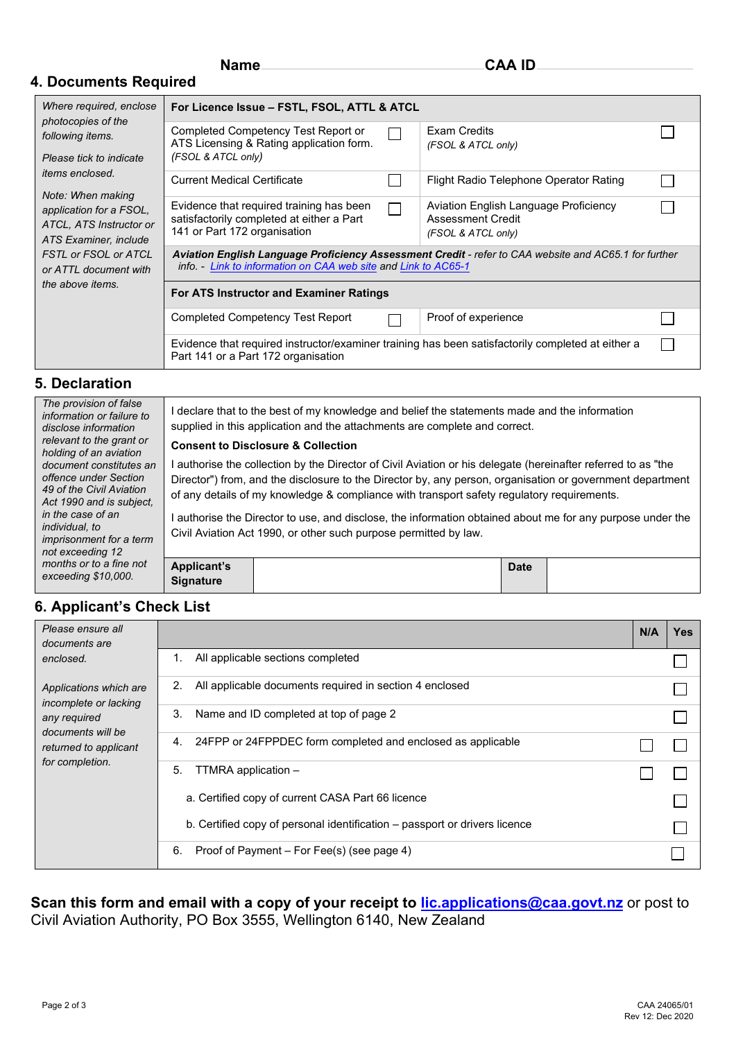### **4. Documents Required**

| Where required, enclose<br>photocopies of the<br>following items.<br>Please tick to indicate | For Licence Issue - FSTL, FSOL, ATTL & ATCL                                                                                                                             |  |                                                                                         |  |  |  |  |
|----------------------------------------------------------------------------------------------|-------------------------------------------------------------------------------------------------------------------------------------------------------------------------|--|-----------------------------------------------------------------------------------------|--|--|--|--|
|                                                                                              | Completed Competency Test Report or<br>ATS Licensing & Rating application form.<br>(FSOL & ATCL only)                                                                   |  | Exam Credits<br>(FSOL & ATCL only)                                                      |  |  |  |  |
| <i>items enclosed.</i><br>Note: When making                                                  | <b>Current Medical Certificate</b>                                                                                                                                      |  | Flight Radio Telephone Operator Rating                                                  |  |  |  |  |
| application for a FSOL,<br>ATCL, ATS Instructor or<br>ATS Examiner, include                  | Evidence that required training has been<br>satisfactorily completed at either a Part<br>141 or Part 172 organisation                                                   |  | Aviation English Language Proficiency<br><b>Assessment Credit</b><br>(FSOL & ATCL only) |  |  |  |  |
| <b>FSTL or FSOL or ATCL</b><br>or ATTL document with                                         | Aviation English Language Proficiency Assessment Credit - refer to CAA website and AC65.1 for further<br>info. - Link to information on CAA web site and Link to AC65-1 |  |                                                                                         |  |  |  |  |
| the above items.                                                                             | For ATS Instructor and Examiner Ratings                                                                                                                                 |  |                                                                                         |  |  |  |  |
|                                                                                              | Completed Competency Test Report                                                                                                                                        |  | Proof of experience                                                                     |  |  |  |  |
|                                                                                              | Evidence that required instructor/examiner training has been satisfactorily completed at either a<br>Part 141 or a Part 172 organisation                                |  |                                                                                         |  |  |  |  |

#### **5. Declaration**

| The provision of false<br>information or failure to<br>disclose information<br>relevant to the grant or<br>holding of an aviation<br>document constitutes an<br>offence under Section<br>49 of the Civil Aviation<br>Act 1990 and is subject.<br>in the case of an<br><i>individual, to</i><br><i>imprisonment for a term</i><br>not exceeding 12<br>months or to a fine not<br>exceeding \$10,000. |                                        | I declare that to the best of my knowledge and belief the statements made and the information<br>supplied in this application and the attachments are complete and correct.<br><b>Consent to Disclosure &amp; Collection</b><br>authorise the collection by the Director of Civil Aviation or his delegate (hereinafter referred to as "the<br>Director") from, and the disclosure to the Director by, any person, organisation or government department<br>of any details of my knowledge & compliance with transport safety regulatory requirements.<br>authorise the Director to use, and disclose, the information obtained about me for any purpose under the<br>Civil Aviation Act 1990, or other such purpose permitted by law. |  |
|-----------------------------------------------------------------------------------------------------------------------------------------------------------------------------------------------------------------------------------------------------------------------------------------------------------------------------------------------------------------------------------------------------|----------------------------------------|----------------------------------------------------------------------------------------------------------------------------------------------------------------------------------------------------------------------------------------------------------------------------------------------------------------------------------------------------------------------------------------------------------------------------------------------------------------------------------------------------------------------------------------------------------------------------------------------------------------------------------------------------------------------------------------------------------------------------------------|--|
|                                                                                                                                                                                                                                                                                                                                                                                                     | <b>Applicant's</b><br><b>Signature</b> | Date                                                                                                                                                                                                                                                                                                                                                                                                                                                                                                                                                                                                                                                                                                                                   |  |

# **6. Applicant's Check List**

| Please ensure all<br>documents are              |                                                                            | N/A | <b>Yes</b> |
|-------------------------------------------------|----------------------------------------------------------------------------|-----|------------|
| enclosed.                                       | All applicable sections completed<br>1.                                    |     |            |
| Applications which are<br>incomplete or lacking | All applicable documents required in section 4 enclosed<br>2.              |     |            |
| any required                                    | Name and ID completed at top of page 2<br>3.                               |     |            |
| documents will be<br>returned to applicant      | 24FPP or 24FPPDEC form completed and enclosed as applicable<br>4.          |     |            |
| for completion.                                 | TTMRA application -<br>5.                                                  |     |            |
|                                                 | a. Certified copy of current CASA Part 66 licence                          |     |            |
|                                                 | b. Certified copy of personal identification – passport or drivers licence |     |            |
|                                                 | Proof of Payment – For Fee(s) (see page 4)<br>6.                           |     |            |

### **Scan this form and email with a copy of your receipt to [lic.applications@caa.govt.nz](mailto:lic.applications@caa.govt.nz)** or post to Civil Aviation Authority, PO Box 3555, Wellington 6140, New Zealand